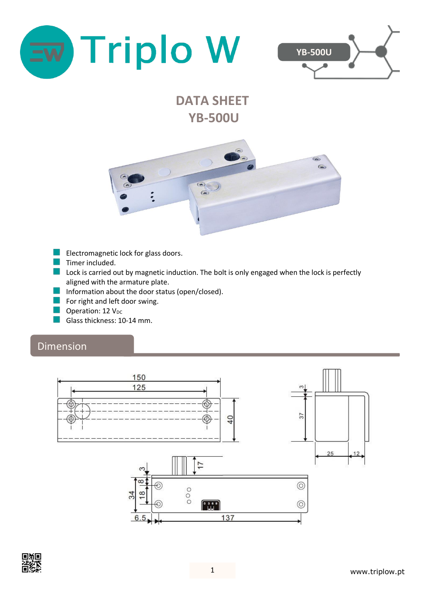



# **DATA SHEET YB-500U**



- Electromagnetic lock for glass doors.
- $\blacksquare$  Timer included.
- **Lock is carried out by magnetic induction. The bolt is only engaged when the lock is perfectly** aligned with the armature plate.
- Information about the door status (open/closed).
- $\blacksquare$  For right and left door swing.
- **Operation: 12**  $V_{DC}$
- Glass thickness: 10-14 mm.

#### Dimension



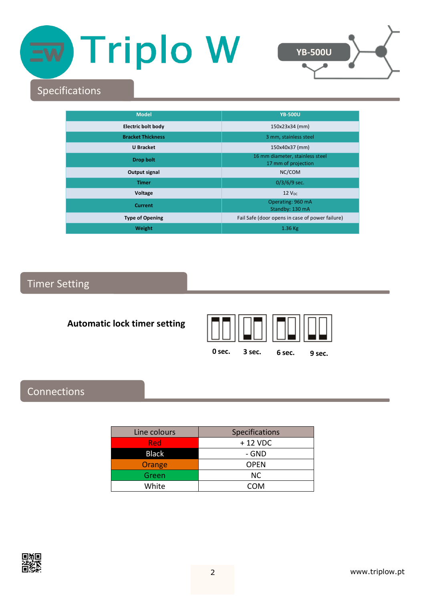# Triplo W



# Specifications

| <b>Model</b>              | <b>YB-500U</b>                                         |
|---------------------------|--------------------------------------------------------|
| <b>Electric bolt body</b> | 150x23x34 (mm)                                         |
| <b>Bracket Thickness</b>  | 3 mm, stainless steel                                  |
| <b>U</b> Bracket          | 150x40x37 (mm)                                         |
| Drop bolt                 | 16 mm diameter, stainless steel<br>17 mm of projection |
| Output signal             | NC/COM                                                 |
| <b>Timer</b>              | $0/3/6/9$ sec.                                         |
| Voltage                   | $12$ $VDC$                                             |
| <b>Current</b>            | Operating: 960 mA<br>Standby: 130 mA                   |
| <b>Type of Opening</b>    | Fail Safe (door opens in case of power failure)        |
| Weight                    | $1.36$ Kg                                              |

## Timer Setting

#### **Automatic lock timer setting**



#### **0 sec. 3 sec. 6 sec. 9 sec.**

## Connections

| Line colours | Specifications |
|--------------|----------------|
| Red          | $+12$ VDC      |
| <b>Black</b> | - GND          |
| Orange       | <b>OPEN</b>    |
| Green        | <b>NC</b>      |
| White        | COM            |

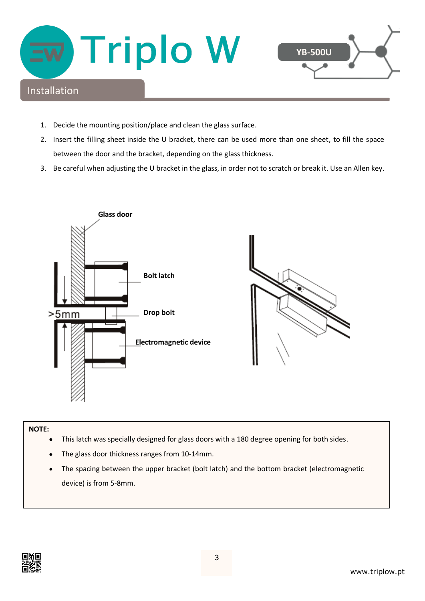

- 1. Decide the mounting position/place and clean the glass surface.
- 2. Insert the filling sheet inside the U bracket, there can be used more than one sheet, to fill the space between the door and the bracket, depending on the glass thickness.
- 3. Be careful when adjusting the U bracket in the glass, in order not to scratch or break it. Use an Allen key.



#### **NOTE:**

- This latch was specially designed for glass doors with a 180 degree opening for both sides.
- The glass door thickness ranges from 10-14mm.
- The spacing between the upper bracket (bolt latch) and the bottom bracket (electromagnetic device) is from 5-8mm.